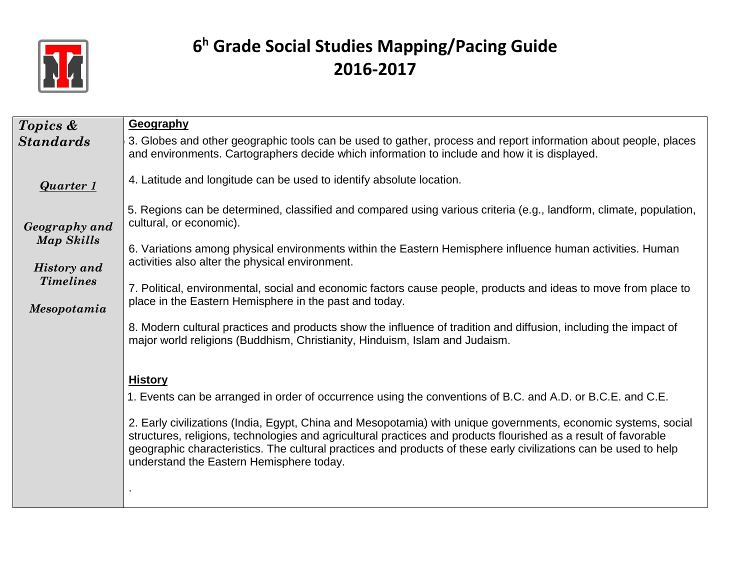

| Topics &                         | Geography                                                                                                                                                                                                                                                                                                                                                                                         |
|----------------------------------|---------------------------------------------------------------------------------------------------------------------------------------------------------------------------------------------------------------------------------------------------------------------------------------------------------------------------------------------------------------------------------------------------|
| <b>Standards</b>                 | 3. Globes and other geographic tools can be used to gather, process and report information about people, places<br>and environments. Cartographers decide which information to include and how it is displayed.                                                                                                                                                                                   |
| <b>Quarter 1</b>                 | 4. Latitude and longitude can be used to identify absolute location.                                                                                                                                                                                                                                                                                                                              |
| Geography and                    | 5. Regions can be determined, classified and compared using various criteria (e.g., landform, climate, population,<br>cultural, or economic).                                                                                                                                                                                                                                                     |
| Map Skills<br><b>History</b> and | 6. Variations among physical environments within the Eastern Hemisphere influence human activities. Human<br>activities also alter the physical environment.                                                                                                                                                                                                                                      |
| <b>Timelines</b>                 | 7. Political, environmental, social and economic factors cause people, products and ideas to move from place to<br>place in the Eastern Hemisphere in the past and today.                                                                                                                                                                                                                         |
| Mesopotamia                      |                                                                                                                                                                                                                                                                                                                                                                                                   |
|                                  | 8. Modern cultural practices and products show the influence of tradition and diffusion, including the impact of<br>major world religions (Buddhism, Christianity, Hinduism, Islam and Judaism.                                                                                                                                                                                                   |
|                                  | <b>History</b>                                                                                                                                                                                                                                                                                                                                                                                    |
|                                  | 1. Events can be arranged in order of occurrence using the conventions of B.C. and A.D. or B.C.E. and C.E.                                                                                                                                                                                                                                                                                        |
|                                  | 2. Early civilizations (India, Egypt, China and Mesopotamia) with unique governments, economic systems, social<br>structures, religions, technologies and agricultural practices and products flourished as a result of favorable<br>geographic characteristics. The cultural practices and products of these early civilizations can be used to help<br>understand the Eastern Hemisphere today. |
|                                  |                                                                                                                                                                                                                                                                                                                                                                                                   |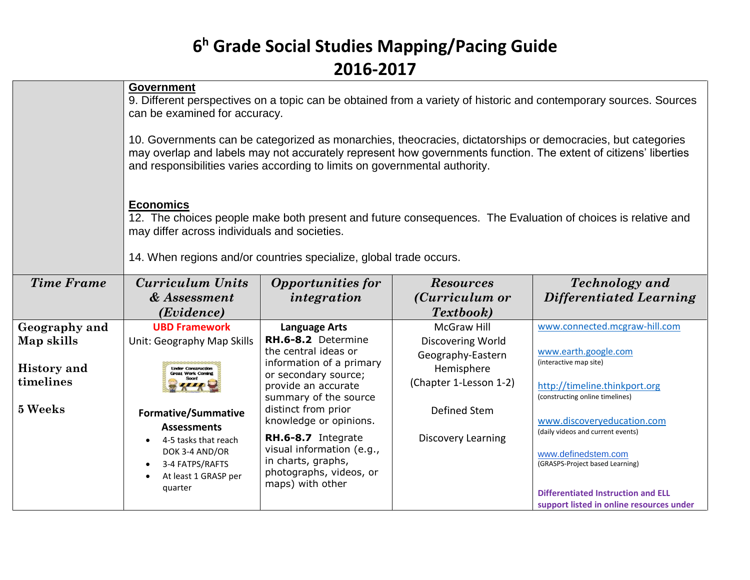|                    | <b>Government</b><br>9. Different perspectives on a topic can be obtained from a variety of historic and contemporary sources. Sources<br>can be examined for accuracy.<br>10. Governments can be categorized as monarchies, theocracies, dictatorships or democracies, but categories<br>may overlap and labels may not accurately represent how governments function. The extent of citizens' liberties<br>and responsibilities varies according to limits on governmental authority.<br><b>Economics</b><br>12. The choices people make both present and future consequences. The Evaluation of choices is relative and<br>may differ across individuals and societies.<br>14. When regions and/or countries specialize, global trade occurs. |                                                  |                           |                                                                 |  |
|--------------------|--------------------------------------------------------------------------------------------------------------------------------------------------------------------------------------------------------------------------------------------------------------------------------------------------------------------------------------------------------------------------------------------------------------------------------------------------------------------------------------------------------------------------------------------------------------------------------------------------------------------------------------------------------------------------------------------------------------------------------------------------|--------------------------------------------------|---------------------------|-----------------------------------------------------------------|--|
| <b>Time Frame</b>  | <b>Curriculum Units</b>                                                                                                                                                                                                                                                                                                                                                                                                                                                                                                                                                                                                                                                                                                                          | <b>Opportunities for</b>                         | <b>Resources</b>          | <b>Technology</b> and                                           |  |
|                    | & Assessment                                                                                                                                                                                                                                                                                                                                                                                                                                                                                                                                                                                                                                                                                                                                     | integration                                      | (Curriculum or            | <b>Differentiated Learning</b>                                  |  |
|                    | ( <i>Evidence</i> )                                                                                                                                                                                                                                                                                                                                                                                                                                                                                                                                                                                                                                                                                                                              |                                                  | Textbook)                 |                                                                 |  |
| Geography and      | <b>UBD Framework</b>                                                                                                                                                                                                                                                                                                                                                                                                                                                                                                                                                                                                                                                                                                                             | <b>Language Arts</b>                             | <b>McGraw Hill</b>        | www.connected.mcgraw-hill.com                                   |  |
| Map skills         | Unit: Geography Map Skills                                                                                                                                                                                                                                                                                                                                                                                                                                                                                                                                                                                                                                                                                                                       | RH.6-8.2 Determine                               | Discovering World         |                                                                 |  |
|                    |                                                                                                                                                                                                                                                                                                                                                                                                                                                                                                                                                                                                                                                                                                                                                  | the central ideas or<br>information of a primary | Geography-Eastern         | www.earth.google.com<br>(interactive map site)                  |  |
| <b>History</b> and | <b>Linder Construction</b><br><b>Great Work Coming</b>                                                                                                                                                                                                                                                                                                                                                                                                                                                                                                                                                                                                                                                                                           | or secondary source;                             | Hemisphere                |                                                                 |  |
| timelines          |                                                                                                                                                                                                                                                                                                                                                                                                                                                                                                                                                                                                                                                                                                                                                  | provide an accurate                              | (Chapter 1-Lesson 1-2)    | http://timeline.thinkport.org                                   |  |
| 5 Weeks            |                                                                                                                                                                                                                                                                                                                                                                                                                                                                                                                                                                                                                                                                                                                                                  | summary of the source                            |                           | (constructing online timelines)                                 |  |
|                    |                                                                                                                                                                                                                                                                                                                                                                                                                                                                                                                                                                                                                                                                                                                                                  |                                                  |                           |                                                                 |  |
|                    | <b>Formative/Summative</b>                                                                                                                                                                                                                                                                                                                                                                                                                                                                                                                                                                                                                                                                                                                       | distinct from prior                              | <b>Defined Stem</b>       |                                                                 |  |
|                    | <b>Assessments</b>                                                                                                                                                                                                                                                                                                                                                                                                                                                                                                                                                                                                                                                                                                                               | knowledge or opinions.                           |                           | www.discoveryeducation.com<br>(daily videos and current events) |  |
|                    | 4-5 tasks that reach                                                                                                                                                                                                                                                                                                                                                                                                                                                                                                                                                                                                                                                                                                                             | RH.6-8.7 Integrate<br>visual information (e.g.,  | <b>Discovery Learning</b> |                                                                 |  |
|                    | DOK 3-4 AND/OR<br>3-4 FATPS/RAFTS                                                                                                                                                                                                                                                                                                                                                                                                                                                                                                                                                                                                                                                                                                                | in charts, graphs,                               |                           | www.definedstem.com<br>(GRASPS-Project based Learning)          |  |
|                    | At least 1 GRASP per                                                                                                                                                                                                                                                                                                                                                                                                                                                                                                                                                                                                                                                                                                                             | photographs, videos, or                          |                           |                                                                 |  |
|                    | quarter                                                                                                                                                                                                                                                                                                                                                                                                                                                                                                                                                                                                                                                                                                                                          | maps) with other                                 |                           | <b>Differentiated Instruction and ELL</b>                       |  |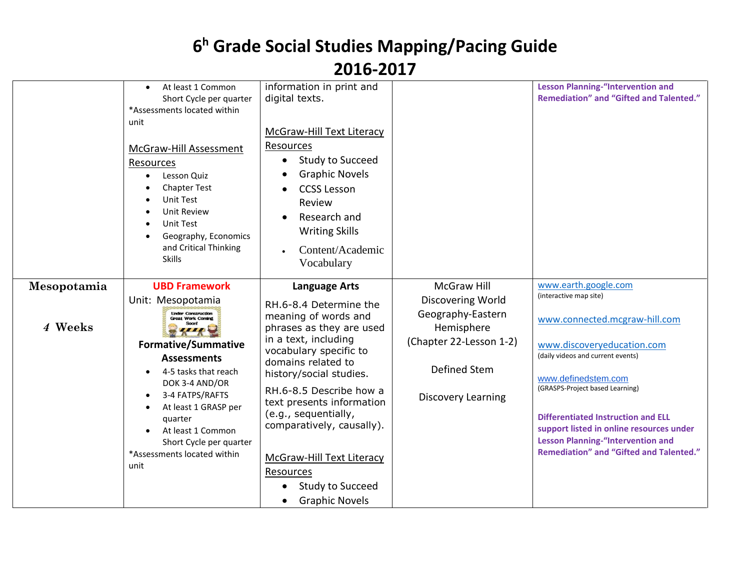|             |                                                                                                                                                                                                                                                                                                                        | LVIV LVI <i>I</i>                                                                                                                                                                                                                                                                                                                                                                               |                                                                                                                                     |                                                                                                                                                                                                                                                                                                                                                                      |
|-------------|------------------------------------------------------------------------------------------------------------------------------------------------------------------------------------------------------------------------------------------------------------------------------------------------------------------------|-------------------------------------------------------------------------------------------------------------------------------------------------------------------------------------------------------------------------------------------------------------------------------------------------------------------------------------------------------------------------------------------------|-------------------------------------------------------------------------------------------------------------------------------------|----------------------------------------------------------------------------------------------------------------------------------------------------------------------------------------------------------------------------------------------------------------------------------------------------------------------------------------------------------------------|
|             | At least 1 Common<br>$\bullet$<br>Short Cycle per quarter<br>*Assessments located within<br>unit<br>McGraw-Hill Assessment<br>Resources<br>Lesson Quiz<br>$\bullet$<br><b>Chapter Test</b><br>Unit Test<br>Unit Review<br>Unit Test<br>Geography, Economics<br>and Critical Thinking<br><b>Skills</b>                  | information in print and<br>digital texts.<br>McGraw-Hill Text Literacy<br>Resources<br>Study to Succeed<br>$\bullet$<br><b>Graphic Novels</b><br><b>CCSS Lesson</b><br>Review<br>Research and<br><b>Writing Skills</b><br>Content/Academic<br>Vocabulary                                                                                                                                       |                                                                                                                                     | <b>Lesson Planning-"Intervention and</b><br><b>Remediation" and "Gifted and Talented."</b>                                                                                                                                                                                                                                                                           |
| Mesopotamia | <b>UBD Framework</b>                                                                                                                                                                                                                                                                                                   | <b>Language Arts</b>                                                                                                                                                                                                                                                                                                                                                                            | <b>McGraw Hill</b>                                                                                                                  | www.earth.google.com                                                                                                                                                                                                                                                                                                                                                 |
| 4 Weeks     | Unit: Mesopotamia<br><b>Linder Construction</b><br><b>Great Work Coming</b><br><b>Formative/Summative</b><br><b>Assessments</b><br>4-5 tasks that reach<br>DOK 3-4 AND/OR<br>3-4 FATPS/RAFTS<br>At least 1 GRASP per<br>quarter<br>At least 1 Common<br>Short Cycle per quarter<br>*Assessments located within<br>unit | RH.6-8.4 Determine the<br>meaning of words and<br>phrases as they are used<br>in a text, including<br>vocabulary specific to<br>domains related to<br>history/social studies.<br>RH.6-8.5 Describe how a<br>text presents information<br>(e.g., sequentially,<br>comparatively, causally).<br><b>McGraw-Hill Text Literacy</b><br>Resources<br><b>Study to Succeed</b><br><b>Graphic Novels</b> | <b>Discovering World</b><br>Geography-Eastern<br>Hemisphere<br>(Chapter 22-Lesson 1-2)<br>Defined Stem<br><b>Discovery Learning</b> | (interactive map site)<br>www.connected.mcgraw-hill.com<br>www.discoveryeducation.com<br>(daily videos and current events)<br>www.definedstem.com<br>(GRASPS-Project based Learning)<br>Differentiated Instruction and ELL<br>support listed in online resources under<br><b>Lesson Planning-"Intervention and</b><br><b>Remediation" and "Gifted and Talented."</b> |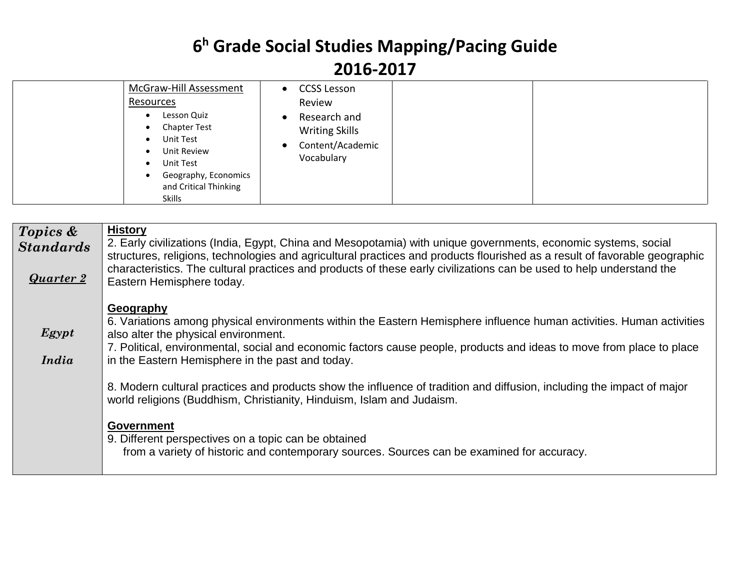| McGraw-Hill Assessment<br><b>Resources</b><br>Lesson Quiz<br><b>Chapter Test</b><br>$\bullet$<br>Unit Test<br>$\bullet$<br>Unit Review<br>Unit Test<br>$\bullet$<br>Geography, Economics<br>and Critical Thinking<br>Skills | CCSS Lesson<br>$\bullet$<br>Review<br>Research and<br>$\bullet$<br><b>Writing Skills</b><br>Content/Academic<br>$\bullet$<br>Vocabulary |
|-----------------------------------------------------------------------------------------------------------------------------------------------------------------------------------------------------------------------------|-----------------------------------------------------------------------------------------------------------------------------------------|
|-----------------------------------------------------------------------------------------------------------------------------------------------------------------------------------------------------------------------------|-----------------------------------------------------------------------------------------------------------------------------------------|

| <b>History</b><br>Topics &<br>2. Early civilizations (India, Egypt, China and Mesopotamia) with unique governments, economic systems, social<br><b>Standards</b><br>structures, religions, technologies and agricultural practices and products flourished as a result of favorable geographic<br>characteristics. The cultural practices and products of these early civilizations can be used to help understand the |  |
|------------------------------------------------------------------------------------------------------------------------------------------------------------------------------------------------------------------------------------------------------------------------------------------------------------------------------------------------------------------------------------------------------------------------|--|
| <b>Quarter 2</b><br>Eastern Hemisphere today.                                                                                                                                                                                                                                                                                                                                                                          |  |
| Geography                                                                                                                                                                                                                                                                                                                                                                                                              |  |
| 6. Variations among physical environments within the Eastern Hemisphere influence human activities. Human activities                                                                                                                                                                                                                                                                                                   |  |
| $E$ <i>gypt</i><br>also alter the physical environment.<br>7. Political, environmental, social and economic factors cause people, products and ideas to move from place to place                                                                                                                                                                                                                                       |  |
| India<br>in the Eastern Hemisphere in the past and today.                                                                                                                                                                                                                                                                                                                                                              |  |
| 8. Modern cultural practices and products show the influence of tradition and diffusion, including the impact of major                                                                                                                                                                                                                                                                                                 |  |
| world religions (Buddhism, Christianity, Hinduism, Islam and Judaism.                                                                                                                                                                                                                                                                                                                                                  |  |
| <b>Government</b>                                                                                                                                                                                                                                                                                                                                                                                                      |  |
| 9. Different perspectives on a topic can be obtained                                                                                                                                                                                                                                                                                                                                                                   |  |
| from a variety of historic and contemporary sources. Sources can be examined for accuracy.                                                                                                                                                                                                                                                                                                                             |  |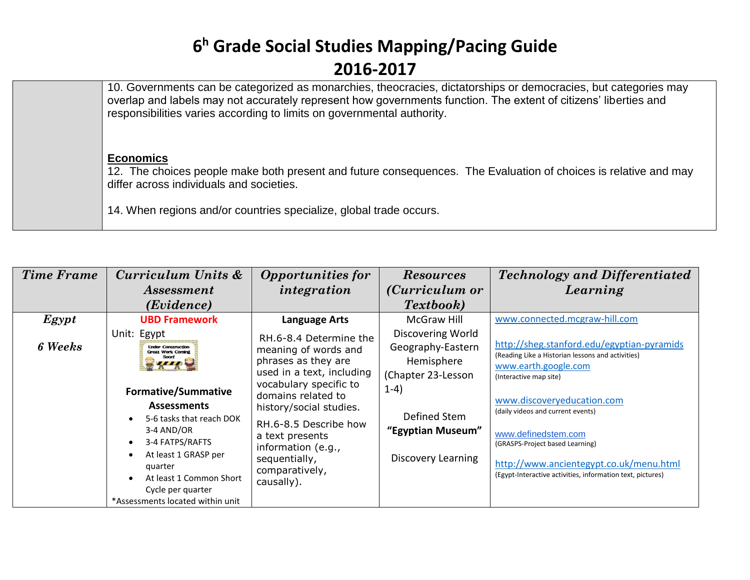| 10. Governments can be categorized as monarchies, theocracies, dictatorships or democracies, but categories may<br>overlap and labels may not accurately represent how governments function. The extent of citizens' liberties and<br>responsibilities varies according to limits on governmental authority. |
|--------------------------------------------------------------------------------------------------------------------------------------------------------------------------------------------------------------------------------------------------------------------------------------------------------------|
| <b>Economics</b><br>12. The choices people make both present and future consequences. The Evaluation of choices is relative and may<br>differ across individuals and societies.<br>14. When regions and/or countries specialize, global trade occurs.                                                        |

| <b>Time Frame</b> | Curriculum Units &                                                                                                                                                                                                                                                                                                     | <b>Opportunities for</b>                                                                                                                                                                                                                                                                         | <b>Resources</b>                                                                                                                                              | <b>Technology and Differentiated</b>                                                                                                                                                                                                                                                                                                                                                    |
|-------------------|------------------------------------------------------------------------------------------------------------------------------------------------------------------------------------------------------------------------------------------------------------------------------------------------------------------------|--------------------------------------------------------------------------------------------------------------------------------------------------------------------------------------------------------------------------------------------------------------------------------------------------|---------------------------------------------------------------------------------------------------------------------------------------------------------------|-----------------------------------------------------------------------------------------------------------------------------------------------------------------------------------------------------------------------------------------------------------------------------------------------------------------------------------------------------------------------------------------|
|                   | <i>Assessment</i>                                                                                                                                                                                                                                                                                                      | integration                                                                                                                                                                                                                                                                                      | ( <i>Curriculum or</i>                                                                                                                                        | Learning                                                                                                                                                                                                                                                                                                                                                                                |
|                   | (Evidence)                                                                                                                                                                                                                                                                                                             |                                                                                                                                                                                                                                                                                                  | <i>Textbook</i> )                                                                                                                                             |                                                                                                                                                                                                                                                                                                                                                                                         |
| Egypt             | <b>UBD Framework</b>                                                                                                                                                                                                                                                                                                   | <b>Language Arts</b>                                                                                                                                                                                                                                                                             | <b>McGraw Hill</b>                                                                                                                                            | www.connected.mcgraw-hill.com                                                                                                                                                                                                                                                                                                                                                           |
| <b>6 Weeks</b>    | Unit: Egypt<br><b>Linder Construction</b><br><b>Great Work Coming</b><br>Soont<br><b>Formative/Summative</b><br><b>Assessments</b><br>5-6 tasks that reach DOK<br>3-4 AND/OR<br>3-4 FATPS/RAFTS<br>At least 1 GRASP per<br>quarter<br>At least 1 Common Short<br>Cycle per quarter<br>*Assessments located within unit | RH.6-8.4 Determine the<br>meaning of words and<br>phrases as they are<br>used in a text, including<br>vocabulary specific to<br>domains related to<br>history/social studies.<br>RH.6-8.5 Describe how<br>a text presents<br>information (e.g.,<br>sequentially,<br>comparatively,<br>causally). | <b>Discovering World</b><br>Geography-Eastern<br>Hemisphere<br>(Chapter 23-Lesson<br>$1-4)$<br>Defined Stem<br>"Egyptian Museum"<br><b>Discovery Learning</b> | http://sheg.stanford.edu/egyptian-pyramids<br>(Reading Like a Historian lessons and activities)<br>www.earth.google.com<br>(Interactive map site)<br>www.discoveryeducation.com<br>(daily videos and current events)<br>www.definedstem.com<br>(GRASPS-Project based Learning)<br>http://www.ancientegypt.co.uk/menu.html<br>(Egypt-Interactive activities, information text, pictures) |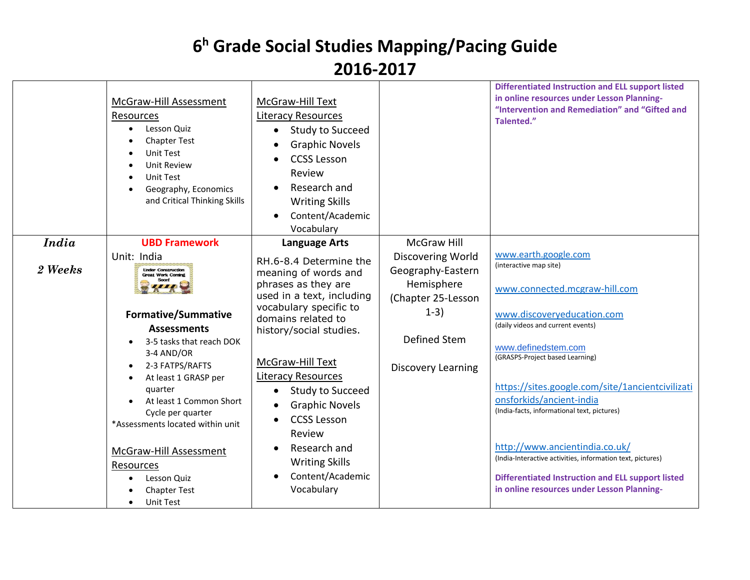#### **2016-2017**

| <b>UBD Framework</b><br><b>Language Arts</b><br>www.earth.google.com<br>Unit: India<br><b>Discovering World</b><br>RH.6-8.4 Determine the<br>(interactive map site)<br>2 Weeks<br>Geography-Eastern<br><b>Under Construction</b><br>meaning of words and<br><b>Great Work Coming</b><br>phrases as they are<br>Hemisphere<br>www.connected.mcgraw-hill.com<br>used in a text, including<br>(Chapter 25-Lesson<br>vocabulary specific to<br>$1-3)$<br>www.discoveryeducation.com<br><b>Formative/Summative</b><br>domains related to<br>(daily videos and current events)<br><b>Assessments</b><br>history/social studies.<br>Defined Stem<br>3-5 tasks that reach DOK<br>www.definedstem.com<br>3-4 AND/OR<br>(GRASPS-Project based Learning)<br>McGraw-Hill Text<br>2-3 FATPS/RAFTS<br><b>Discovery Learning</b><br><b>Literacy Resources</b><br>At least 1 GRASP per<br>https://sites.google.com/site/1ancientcivilizati<br>quarter<br><b>Study to Succeed</b><br>$\bullet$<br>onsforkids/ancient-india<br>At least 1 Common Short<br><b>Graphic Novels</b><br>(India-facts, informational text, pictures)<br>Cycle per quarter<br><b>CCSS Lesson</b><br>*Assessments located within unit |              | McGraw-Hill Assessment<br>Resources<br>Lesson Quiz<br><b>Chapter Test</b><br>Unit Test<br><b>Unit Review</b><br><b>Unit Test</b><br>Geography, Economics<br>and Critical Thinking Skills | McGraw-Hill Text<br><b>Literacy Resources</b><br>Study to Succeed<br>$\bullet$<br><b>Graphic Novels</b><br><b>CCSS Lesson</b><br>Review<br>Research and<br><b>Writing Skills</b><br>Content/Academic<br>$\bullet$<br>Vocabulary |                    | <b>Differentiated Instruction and ELL support listed</b><br>in online resources under Lesson Planning-<br>"Intervention and Remediation" and "Gifted and<br>Talented." |
|---------------------------------------------------------------------------------------------------------------------------------------------------------------------------------------------------------------------------------------------------------------------------------------------------------------------------------------------------------------------------------------------------------------------------------------------------------------------------------------------------------------------------------------------------------------------------------------------------------------------------------------------------------------------------------------------------------------------------------------------------------------------------------------------------------------------------------------------------------------------------------------------------------------------------------------------------------------------------------------------------------------------------------------------------------------------------------------------------------------------------------------------------------------------------------------------|--------------|------------------------------------------------------------------------------------------------------------------------------------------------------------------------------------------|---------------------------------------------------------------------------------------------------------------------------------------------------------------------------------------------------------------------------------|--------------------|------------------------------------------------------------------------------------------------------------------------------------------------------------------------|
|                                                                                                                                                                                                                                                                                                                                                                                                                                                                                                                                                                                                                                                                                                                                                                                                                                                                                                                                                                                                                                                                                                                                                                                             | <b>India</b> |                                                                                                                                                                                          |                                                                                                                                                                                                                                 | <b>McGraw Hill</b> |                                                                                                                                                                        |
|                                                                                                                                                                                                                                                                                                                                                                                                                                                                                                                                                                                                                                                                                                                                                                                                                                                                                                                                                                                                                                                                                                                                                                                             |              |                                                                                                                                                                                          |                                                                                                                                                                                                                                 |                    |                                                                                                                                                                        |
|                                                                                                                                                                                                                                                                                                                                                                                                                                                                                                                                                                                                                                                                                                                                                                                                                                                                                                                                                                                                                                                                                                                                                                                             |              |                                                                                                                                                                                          |                                                                                                                                                                                                                                 |                    |                                                                                                                                                                        |
|                                                                                                                                                                                                                                                                                                                                                                                                                                                                                                                                                                                                                                                                                                                                                                                                                                                                                                                                                                                                                                                                                                                                                                                             |              |                                                                                                                                                                                          |                                                                                                                                                                                                                                 |                    |                                                                                                                                                                        |
|                                                                                                                                                                                                                                                                                                                                                                                                                                                                                                                                                                                                                                                                                                                                                                                                                                                                                                                                                                                                                                                                                                                                                                                             |              |                                                                                                                                                                                          |                                                                                                                                                                                                                                 |                    |                                                                                                                                                                        |
|                                                                                                                                                                                                                                                                                                                                                                                                                                                                                                                                                                                                                                                                                                                                                                                                                                                                                                                                                                                                                                                                                                                                                                                             |              |                                                                                                                                                                                          |                                                                                                                                                                                                                                 |                    |                                                                                                                                                                        |
|                                                                                                                                                                                                                                                                                                                                                                                                                                                                                                                                                                                                                                                                                                                                                                                                                                                                                                                                                                                                                                                                                                                                                                                             |              |                                                                                                                                                                                          |                                                                                                                                                                                                                                 |                    |                                                                                                                                                                        |
|                                                                                                                                                                                                                                                                                                                                                                                                                                                                                                                                                                                                                                                                                                                                                                                                                                                                                                                                                                                                                                                                                                                                                                                             |              |                                                                                                                                                                                          |                                                                                                                                                                                                                                 |                    |                                                                                                                                                                        |
|                                                                                                                                                                                                                                                                                                                                                                                                                                                                                                                                                                                                                                                                                                                                                                                                                                                                                                                                                                                                                                                                                                                                                                                             |              |                                                                                                                                                                                          |                                                                                                                                                                                                                                 |                    |                                                                                                                                                                        |
|                                                                                                                                                                                                                                                                                                                                                                                                                                                                                                                                                                                                                                                                                                                                                                                                                                                                                                                                                                                                                                                                                                                                                                                             |              |                                                                                                                                                                                          |                                                                                                                                                                                                                                 |                    |                                                                                                                                                                        |
|                                                                                                                                                                                                                                                                                                                                                                                                                                                                                                                                                                                                                                                                                                                                                                                                                                                                                                                                                                                                                                                                                                                                                                                             |              |                                                                                                                                                                                          |                                                                                                                                                                                                                                 |                    |                                                                                                                                                                        |
|                                                                                                                                                                                                                                                                                                                                                                                                                                                                                                                                                                                                                                                                                                                                                                                                                                                                                                                                                                                                                                                                                                                                                                                             |              |                                                                                                                                                                                          |                                                                                                                                                                                                                                 |                    |                                                                                                                                                                        |
|                                                                                                                                                                                                                                                                                                                                                                                                                                                                                                                                                                                                                                                                                                                                                                                                                                                                                                                                                                                                                                                                                                                                                                                             |              |                                                                                                                                                                                          |                                                                                                                                                                                                                                 |                    |                                                                                                                                                                        |
|                                                                                                                                                                                                                                                                                                                                                                                                                                                                                                                                                                                                                                                                                                                                                                                                                                                                                                                                                                                                                                                                                                                                                                                             |              |                                                                                                                                                                                          | Review                                                                                                                                                                                                                          |                    |                                                                                                                                                                        |
| http://www.ancientindia.co.uk/<br>Research and                                                                                                                                                                                                                                                                                                                                                                                                                                                                                                                                                                                                                                                                                                                                                                                                                                                                                                                                                                                                                                                                                                                                              |              |                                                                                                                                                                                          |                                                                                                                                                                                                                                 |                    |                                                                                                                                                                        |
| McGraw-Hill Assessment<br>(India-Interactive activities, information text, pictures)<br><b>Writing Skills</b>                                                                                                                                                                                                                                                                                                                                                                                                                                                                                                                                                                                                                                                                                                                                                                                                                                                                                                                                                                                                                                                                               |              |                                                                                                                                                                                          |                                                                                                                                                                                                                                 |                    |                                                                                                                                                                        |
| Resources                                                                                                                                                                                                                                                                                                                                                                                                                                                                                                                                                                                                                                                                                                                                                                                                                                                                                                                                                                                                                                                                                                                                                                                   |              |                                                                                                                                                                                          |                                                                                                                                                                                                                                 |                    |                                                                                                                                                                        |
| Content/Academic<br><b>Differentiated Instruction and ELL support listed</b><br>Lesson Quiz<br>Vocabulary<br>in online resources under Lesson Planning-                                                                                                                                                                                                                                                                                                                                                                                                                                                                                                                                                                                                                                                                                                                                                                                                                                                                                                                                                                                                                                     |              |                                                                                                                                                                                          |                                                                                                                                                                                                                                 |                    |                                                                                                                                                                        |
| <b>Chapter Test</b><br>Unit Test<br>$\bullet$                                                                                                                                                                                                                                                                                                                                                                                                                                                                                                                                                                                                                                                                                                                                                                                                                                                                                                                                                                                                                                                                                                                                               |              |                                                                                                                                                                                          |                                                                                                                                                                                                                                 |                    |                                                                                                                                                                        |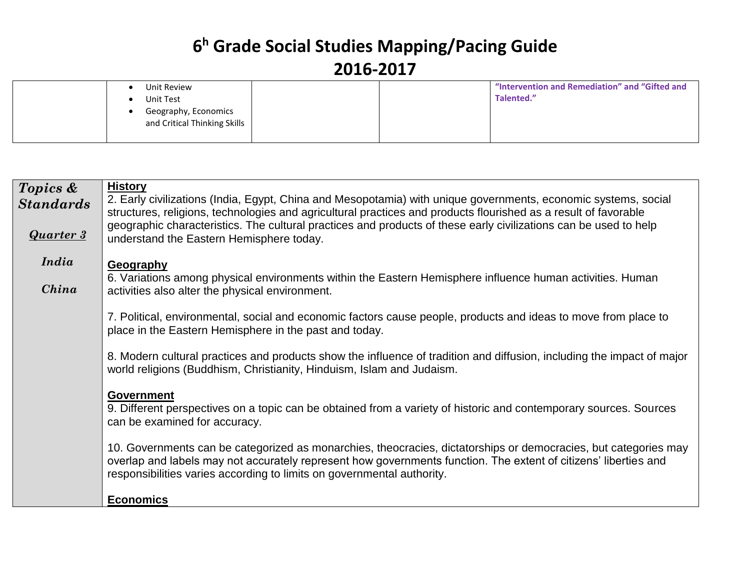|  | Unit Review                                          |  | "Intervention and Remediation" and "Gifted and |
|--|------------------------------------------------------|--|------------------------------------------------|
|  | Unit Test                                            |  | Talented."                                     |
|  | Geography, Economics<br>and Critical Thinking Skills |  |                                                |
|  |                                                      |  |                                                |

| Topics &         | <b>History</b>                                                                                                                                                                                                                    |
|------------------|-----------------------------------------------------------------------------------------------------------------------------------------------------------------------------------------------------------------------------------|
| <b>Standards</b> | 2. Early civilizations (India, Egypt, China and Mesopotamia) with unique governments, economic systems, social<br>structures, religions, technologies and agricultural practices and products flourished as a result of favorable |
|                  | geographic characteristics. The cultural practices and products of these early civilizations can be used to help                                                                                                                  |
| <b>Quarter 3</b> | understand the Eastern Hemisphere today.                                                                                                                                                                                          |
| India            | Geography                                                                                                                                                                                                                         |
|                  | 6. Variations among physical environments within the Eastern Hemisphere influence human activities. Human                                                                                                                         |
| China            | activities also alter the physical environment.                                                                                                                                                                                   |
|                  | 7. Political, environmental, social and economic factors cause people, products and ideas to move from place to                                                                                                                   |
|                  | place in the Eastern Hemisphere in the past and today.                                                                                                                                                                            |
|                  | 8. Modern cultural practices and products show the influence of tradition and diffusion, including the impact of major                                                                                                            |
|                  | world religions (Buddhism, Christianity, Hinduism, Islam and Judaism.                                                                                                                                                             |
|                  | <b>Government</b>                                                                                                                                                                                                                 |
|                  | 9. Different perspectives on a topic can be obtained from a variety of historic and contemporary sources. Sources                                                                                                                 |
|                  | can be examined for accuracy.                                                                                                                                                                                                     |
|                  | 10. Governments can be categorized as monarchies, theocracies, dictatorships or democracies, but categories may                                                                                                                   |
|                  | overlap and labels may not accurately represent how governments function. The extent of citizens' liberties and                                                                                                                   |
|                  | responsibilities varies according to limits on governmental authority.                                                                                                                                                            |
|                  | <b>Economics</b>                                                                                                                                                                                                                  |
|                  |                                                                                                                                                                                                                                   |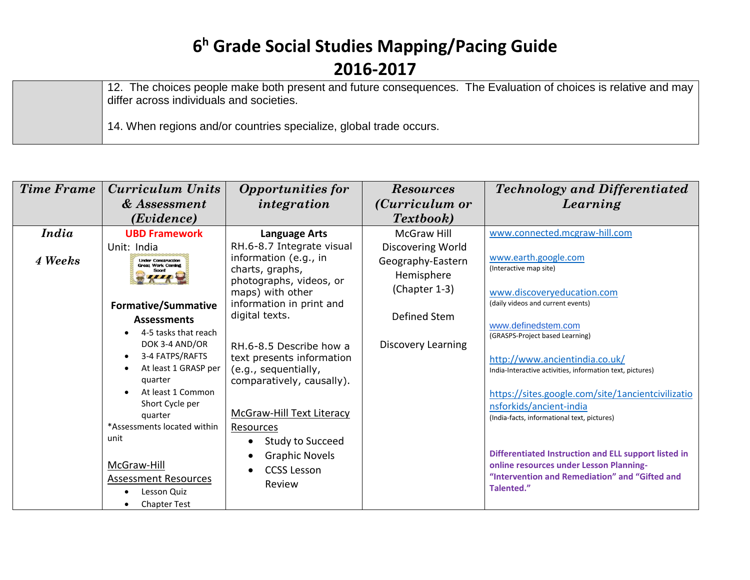12. The choices people make both present and future consequences. The Evaluation of choices is relative and may differ across individuals and societies.

14. When regions and/or countries specialize, global trade occurs.

| <b>Time Frame</b> | Curriculum Units                                                                                                                                                                                                                                                                          | <b>Opportunities for</b>                                                                                                                                                                                                                       | <b>Resources</b>                                                                      | <b>Technology and Differentiated</b>                                                                                                                                                                                                                                                                                                                                                          |
|-------------------|-------------------------------------------------------------------------------------------------------------------------------------------------------------------------------------------------------------------------------------------------------------------------------------------|------------------------------------------------------------------------------------------------------------------------------------------------------------------------------------------------------------------------------------------------|---------------------------------------------------------------------------------------|-----------------------------------------------------------------------------------------------------------------------------------------------------------------------------------------------------------------------------------------------------------------------------------------------------------------------------------------------------------------------------------------------|
|                   | & Assessment                                                                                                                                                                                                                                                                              | integration                                                                                                                                                                                                                                    | ( <i>Curriculum or</i>                                                                | Learning                                                                                                                                                                                                                                                                                                                                                                                      |
|                   | (Evidence)                                                                                                                                                                                                                                                                                |                                                                                                                                                                                                                                                | <i>Textbook</i> )                                                                     |                                                                                                                                                                                                                                                                                                                                                                                               |
| <i>India</i>      | <b>UBD Framework</b>                                                                                                                                                                                                                                                                      | <b>Language Arts</b>                                                                                                                                                                                                                           | McGraw Hill                                                                           | www.connected.mcgraw-hill.com                                                                                                                                                                                                                                                                                                                                                                 |
| 4 Weeks           | Unit: India<br><b>Under Construction</b><br><b>Great Work Coming</b><br><b>Formative/Summative</b><br><b>Assessments</b><br>4-5 tasks that reach<br>$\bullet$                                                                                                                             | RH.6-8.7 Integrate visual<br>information (e.g., in<br>charts, graphs,<br>photographs, videos, or<br>maps) with other<br>information in print and<br>digital texts.                                                                             | Discovering World<br>Geography-Eastern<br>Hemisphere<br>(Chapter 1-3)<br>Defined Stem | www.earth.google.com<br>(Interactive map site)<br>www.discoveryeducation.com<br>(daily videos and current events)<br>www.definedstem.com<br>(GRASPS-Project based Learning)                                                                                                                                                                                                                   |
|                   | DOK 3-4 AND/OR<br>3-4 FATPS/RAFTS<br>$\bullet$<br>At least 1 GRASP per<br>$\bullet$<br>quarter<br>At least 1 Common<br>$\bullet$<br>Short Cycle per<br>quarter<br>*Assessments located within<br>unit<br>McGraw-Hill<br><b>Assessment Resources</b><br>Lesson Quiz<br><b>Chapter Test</b> | RH.6-8.5 Describe how a<br>text presents information<br>(e.g., sequentially,<br>comparatively, causally).<br><b>McGraw-Hill Text Literacy</b><br><b>Resources</b><br>Study to Succeed<br><b>Graphic Novels</b><br><b>CCSS Lesson</b><br>Review | <b>Discovery Learning</b>                                                             | http://www.ancientindia.co.uk/<br>India-Interactive activities, information text, pictures)<br>https://sites.google.com/site/1ancientcivilizatio<br>nsforkids/ancient-india<br>(India-facts, informational text, pictures)<br>Differentiated Instruction and ELL support listed in<br>online resources under Lesson Planning-<br>"Intervention and Remediation" and "Gifted and<br>Talented." |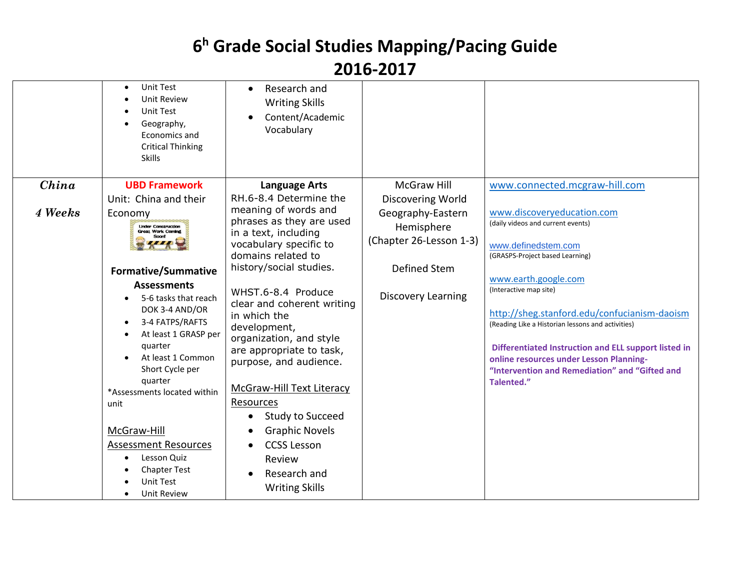#### **2016-2017**

|         | <b>Unit Test</b><br>$\bullet$<br><b>Unit Review</b><br><b>Unit Test</b><br>Geography,<br>Economics and<br><b>Critical Thinking</b><br><b>Skills</b>                                                                                                                                                                                                   | Research and<br>$\bullet$<br><b>Writing Skills</b><br>Content/Academic<br>Vocabulary                                                                                                                                                                                                                                                     |                           |                                                                                                                                                                                                                                                                                                                        |
|---------|-------------------------------------------------------------------------------------------------------------------------------------------------------------------------------------------------------------------------------------------------------------------------------------------------------------------------------------------------------|------------------------------------------------------------------------------------------------------------------------------------------------------------------------------------------------------------------------------------------------------------------------------------------------------------------------------------------|---------------------------|------------------------------------------------------------------------------------------------------------------------------------------------------------------------------------------------------------------------------------------------------------------------------------------------------------------------|
| China   | <b>UBD Framework</b>                                                                                                                                                                                                                                                                                                                                  | <b>Language Arts</b>                                                                                                                                                                                                                                                                                                                     | <b>McGraw Hill</b>        | www.connected.mcgraw-hill.com                                                                                                                                                                                                                                                                                          |
|         | Unit: China and their                                                                                                                                                                                                                                                                                                                                 | RH.6-8.4 Determine the                                                                                                                                                                                                                                                                                                                   | Discovering World         |                                                                                                                                                                                                                                                                                                                        |
| 4 Weeks | Economy                                                                                                                                                                                                                                                                                                                                               | meaning of words and                                                                                                                                                                                                                                                                                                                     | Geography-Eastern         | www.discoveryeducation.com                                                                                                                                                                                                                                                                                             |
|         | <b>Linder Construction</b><br><b>Great Work Coming</b>                                                                                                                                                                                                                                                                                                | phrases as they are used<br>in a text, including                                                                                                                                                                                                                                                                                         | Hemisphere                | (daily videos and current events)                                                                                                                                                                                                                                                                                      |
|         | Soon!                                                                                                                                                                                                                                                                                                                                                 | vocabulary specific to                                                                                                                                                                                                                                                                                                                   | (Chapter 26-Lesson 1-3)   | www.definedstem.com                                                                                                                                                                                                                                                                                                    |
|         |                                                                                                                                                                                                                                                                                                                                                       | domains related to                                                                                                                                                                                                                                                                                                                       |                           | (GRASPS-Project based Learning)                                                                                                                                                                                                                                                                                        |
|         | <b>Formative/Summative</b>                                                                                                                                                                                                                                                                                                                            | history/social studies.                                                                                                                                                                                                                                                                                                                  | Defined Stem              |                                                                                                                                                                                                                                                                                                                        |
|         | <b>Assessments</b><br>5-6 tasks that reach<br>DOK 3-4 AND/OR<br>3-4 FATPS/RAFTS<br>٠<br>At least 1 GRASP per<br>quarter<br>At least 1 Common<br>Short Cycle per<br>quarter<br>*Assessments located within<br>unit<br>McGraw-Hill<br><b>Assessment Resources</b><br>Lesson Quiz<br>$\bullet$<br><b>Chapter Test</b><br><b>Unit Test</b><br>Unit Review | WHST.6-8.4 Produce<br>clear and coherent writing<br>in which the<br>development,<br>organization, and style<br>are appropriate to task,<br>purpose, and audience.<br><b>McGraw-Hill Text Literacy</b><br>Resources<br>Study to Succeed<br><b>Graphic Novels</b><br><b>CCSS Lesson</b><br>Review<br>Research and<br><b>Writing Skills</b> | <b>Discovery Learning</b> | www.earth.google.com<br>(Interactive map site)<br>http://sheg.stanford.edu/confucianism-daoism<br>(Reading Like a Historian lessons and activities)<br>Differentiated Instruction and ELL support listed in<br>online resources under Lesson Planning-<br>"Intervention and Remediation" and "Gifted and<br>Talented." |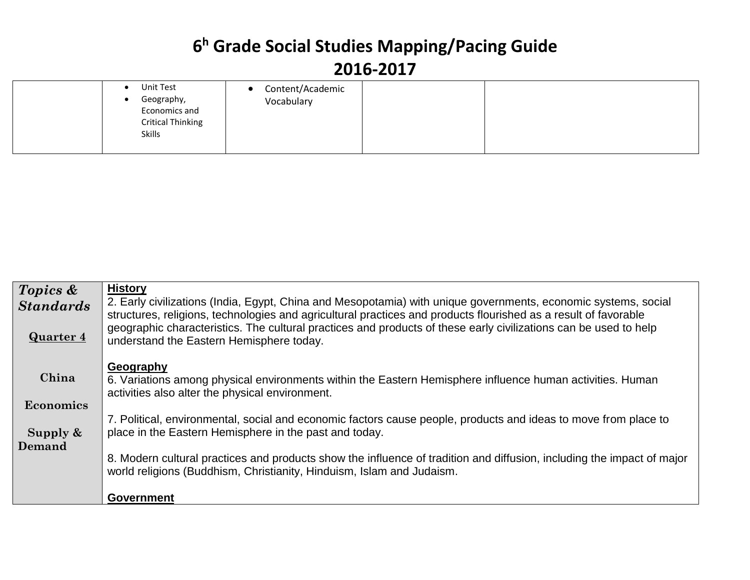| Unit Test<br>Content/Academic<br>Geography,<br>Vocabulary<br>Economics and<br><b>Critical Thinking</b><br>Skills |  |
|------------------------------------------------------------------------------------------------------------------|--|
|------------------------------------------------------------------------------------------------------------------|--|

| Topics &         | <b>History</b>                                                                                                                                                                                                                    |
|------------------|-----------------------------------------------------------------------------------------------------------------------------------------------------------------------------------------------------------------------------------|
| <b>Standards</b> | 2. Early civilizations (India, Egypt, China and Mesopotamia) with unique governments, economic systems, social<br>structures, religions, technologies and agricultural practices and products flourished as a result of favorable |
| <b>Quarter 4</b> | geographic characteristics. The cultural practices and products of these early civilizations can be used to help<br>understand the Eastern Hemisphere today.                                                                      |
| China            | Geography<br>6. Variations among physical environments within the Eastern Hemisphere influence human activities. Human<br>activities also alter the physical environment.                                                         |
| Economics        |                                                                                                                                                                                                                                   |
| Supply $\&$      | 7. Political, environmental, social and economic factors cause people, products and ideas to move from place to<br>place in the Eastern Hemisphere in the past and today.                                                         |
| Demand           | 8. Modern cultural practices and products show the influence of tradition and diffusion, including the impact of major<br>world religions (Buddhism, Christianity, Hinduism, Islam and Judaism.                                   |
|                  | <b>Government</b>                                                                                                                                                                                                                 |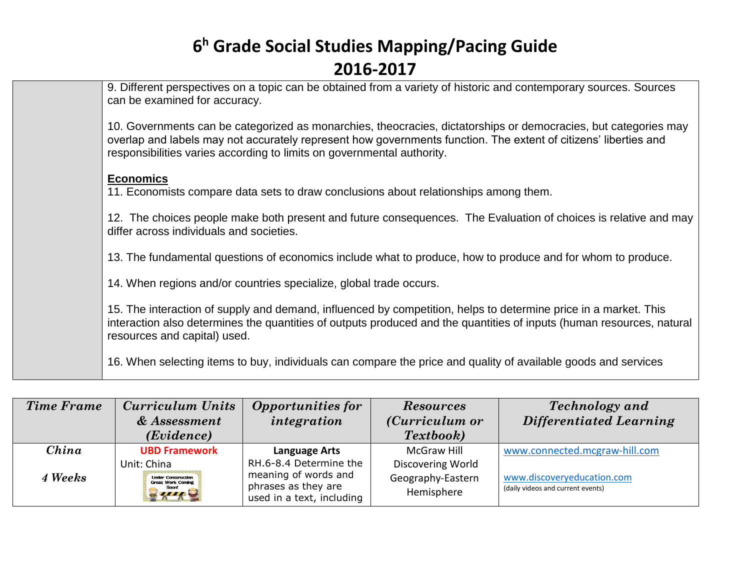| 9. Different perspectives on a topic can be obtained from a variety of historic and contemporary sources. Sources<br>can be examined for accuracy.                                                                                                                                                           |
|--------------------------------------------------------------------------------------------------------------------------------------------------------------------------------------------------------------------------------------------------------------------------------------------------------------|
| 10. Governments can be categorized as monarchies, theocracies, dictatorships or democracies, but categories may<br>overlap and labels may not accurately represent how governments function. The extent of citizens' liberties and<br>responsibilities varies according to limits on governmental authority. |
| <b>Economics</b><br>11. Economists compare data sets to draw conclusions about relationships among them.                                                                                                                                                                                                     |
| 12. The choices people make both present and future consequences. The Evaluation of choices is relative and may<br>differ across individuals and societies.                                                                                                                                                  |
| 13. The fundamental questions of economics include what to produce, how to produce and for whom to produce.                                                                                                                                                                                                  |
| 14. When regions and/or countries specialize, global trade occurs.                                                                                                                                                                                                                                           |
| 15. The interaction of supply and demand, influenced by competition, helps to determine price in a market. This<br>interaction also determines the quantities of outputs produced and the quantities of inputs (human resources, natural<br>resources and capital) used.                                     |
| 16. When selecting items to buy, individuals can compare the price and quality of available goods and services                                                                                                                                                                                               |

| <b>Time Frame</b> | <b>Curriculum Units</b>                                                                             | <b>Opportunities for</b>                                                                           | <b>Resources</b>                                     | <b>Technology</b> and                                           |
|-------------------|-----------------------------------------------------------------------------------------------------|----------------------------------------------------------------------------------------------------|------------------------------------------------------|-----------------------------------------------------------------|
|                   | & Assessment                                                                                        | integration                                                                                        | ( <i>Curriculum or</i>                               | <b>Differentiated Learning</b>                                  |
|                   | (Evidence)                                                                                          |                                                                                                    | Textbook)                                            |                                                                 |
| China             | <b>UBD Framework</b>                                                                                | <b>Language Arts</b>                                                                               | <b>McGraw Hill</b>                                   | www.connected.mcgraw-hill.com                                   |
| 4 Weeks           | Unit: China<br><b>Linder Construction</b><br><b>Great Work Coming</b><br><b>Soon!</b><br><b>AIR</b> | RH.6-8.4 Determine the<br>meaning of words and<br>phrases as they are<br>used in a text, including | Discovering World<br>Geography-Eastern<br>Hemisphere | www.discoveryeducation.com<br>(daily videos and current events) |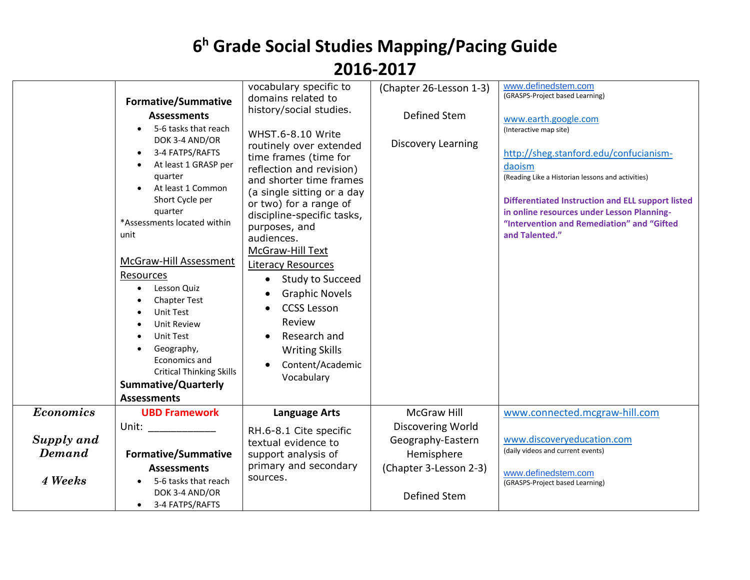|                             | <b>Formative/Summative</b><br><b>Assessments</b><br>5-6 tasks that reach<br>DOK 3-4 AND/OR<br>3-4 FATPS/RAFTS<br>At least 1 GRASP per<br>quarter<br>At least 1 Common<br>Short Cycle per<br>quarter<br>*Assessments located within<br>unit<br>McGraw-Hill Assessment<br>Resources<br>Lesson Quiz<br><b>Chapter Test</b><br>Unit Test<br><b>Unit Review</b><br><b>Unit Test</b><br>Geography,<br>Economics and<br><b>Critical Thinking Skills</b> | vocabulary specific to<br>domains related to<br>history/social studies.<br>WHST.6-8.10 Write<br>routinely over extended<br>time frames (time for<br>reflection and revision)<br>and shorter time frames<br>(a single sitting or a day<br>or two) for a range of<br>discipline-specific tasks,<br>purposes, and<br>audiences.<br>McGraw-Hill Text<br><b>Literacy Resources</b><br>Study to Succeed<br>$\bullet$<br><b>Graphic Novels</b><br><b>CCSS Lesson</b><br>Review<br>Research and<br><b>Writing Skills</b><br>Content/Academic<br>Vocabulary | (Chapter 26-Lesson 1-3)<br>Defined Stem<br><b>Discovery Learning</b>           | www.definedstem.com<br>(GRASPS-Project based Learning)<br>www.earth.google.com<br>(Interactive map site)<br>http://sheg.stanford.edu/confucianism-<br>daoism<br>(Reading Like a Historian lessons and activities)<br><b>Differentiated Instruction and ELL support listed</b><br>in online resources under Lesson Planning-<br>"Intervention and Remediation" and "Gifted<br>and Talented." |
|-----------------------------|--------------------------------------------------------------------------------------------------------------------------------------------------------------------------------------------------------------------------------------------------------------------------------------------------------------------------------------------------------------------------------------------------------------------------------------------------|----------------------------------------------------------------------------------------------------------------------------------------------------------------------------------------------------------------------------------------------------------------------------------------------------------------------------------------------------------------------------------------------------------------------------------------------------------------------------------------------------------------------------------------------------|--------------------------------------------------------------------------------|---------------------------------------------------------------------------------------------------------------------------------------------------------------------------------------------------------------------------------------------------------------------------------------------------------------------------------------------------------------------------------------------|
|                             | <b>Summative/Quarterly</b><br><b>Assessments</b>                                                                                                                                                                                                                                                                                                                                                                                                 |                                                                                                                                                                                                                                                                                                                                                                                                                                                                                                                                                    |                                                                                |                                                                                                                                                                                                                                                                                                                                                                                             |
| <b>Economics</b>            | <b>UBD Framework</b>                                                                                                                                                                                                                                                                                                                                                                                                                             | <b>Language Arts</b>                                                                                                                                                                                                                                                                                                                                                                                                                                                                                                                               | <b>McGraw Hill</b>                                                             | www.connected.mcgraw-hill.com                                                                                                                                                                                                                                                                                                                                                               |
| Supply and<br><b>Demand</b> | Unit: and the state of the state of the state of the state of the state of the state of the state of the state<br><b>Formative/Summative</b><br><b>Assessments</b>                                                                                                                                                                                                                                                                               | RH.6-8.1 Cite specific<br>textual evidence to<br>support analysis of<br>primary and secondary                                                                                                                                                                                                                                                                                                                                                                                                                                                      | Discovering World<br>Geography-Eastern<br>Hemisphere<br>(Chapter 3-Lesson 2-3) | www.discoveryeducation.com<br>(daily videos and current events)                                                                                                                                                                                                                                                                                                                             |
| 4 Weeks                     | 5-6 tasks that reach<br>DOK 3-4 AND/OR<br>3-4 FATPS/RAFTS<br>$\bullet$                                                                                                                                                                                                                                                                                                                                                                           | sources.                                                                                                                                                                                                                                                                                                                                                                                                                                                                                                                                           | <b>Defined Stem</b>                                                            | www.definedstem.com<br>(GRASPS-Project based Learning)                                                                                                                                                                                                                                                                                                                                      |